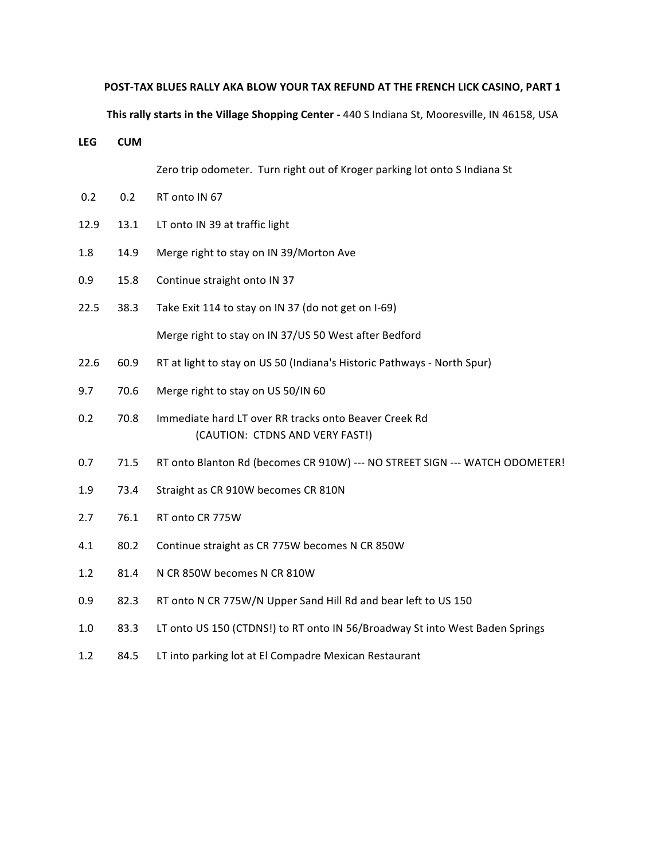## **POST-TAX BLUES RALLY AKA BLOW YOUR TAX REFUND AT THE FRENCH LICK CASINO, PART 1**

**This rally starts in the Village Shopping Center - 440 S Indiana St, Mooresville, IN 46158, USA** 

**LEG CUM**

Zero trip odometer. Turn right out of Kroger parking lot onto S Indiana St

- 0.2 0.2 RT onto IN 67
- 12.9 13.1 LT onto IN 39 at traffic light
- 1.8 14.9 Merge right to stay on IN 39/Morton Ave
- 0.9 15.8 Continue straight onto IN 37

22.5 38.3 Take Exit 114 to stay on IN 37 (do not get on I-69) Merge right to stay on IN 37/US 50 West after Bedford

- 22.6 60.9 RT at light to stay on US 50 (Indiana's Historic Pathways North Spur)
- 9.7 70.6 Merge right to stay on US 50/IN 60
- 0.2 70.8 Immediate hard LT over RR tracks onto Beaver Creek Rd (CAUTION: CTDNS AND VERY FAST!)
- 0.7 71.5 RT onto Blanton Rd (becomes CR 910W) --- NO STREET SIGN --- WATCH ODOMETER!
- 1.9 73.4 Straight as CR 910W becomes CR 810N
- 2.7 76.1 RT onto CR 775W
- 4.1 80.2 Continue straight as CR 775W becomes N CR 850W
- 1.2 81.4 N CR 850W becomes N CR 810W
- 0.9 82.3 RT onto N CR 775W/N Upper Sand Hill Rd and bear left to US 150
- 1.0 83.3 LT onto US 150 (CTDNS!) to RT onto IN 56/Broadway St into West Baden Springs
- 1.2 84.5 LT into parking lot at El Compadre Mexican Restaurant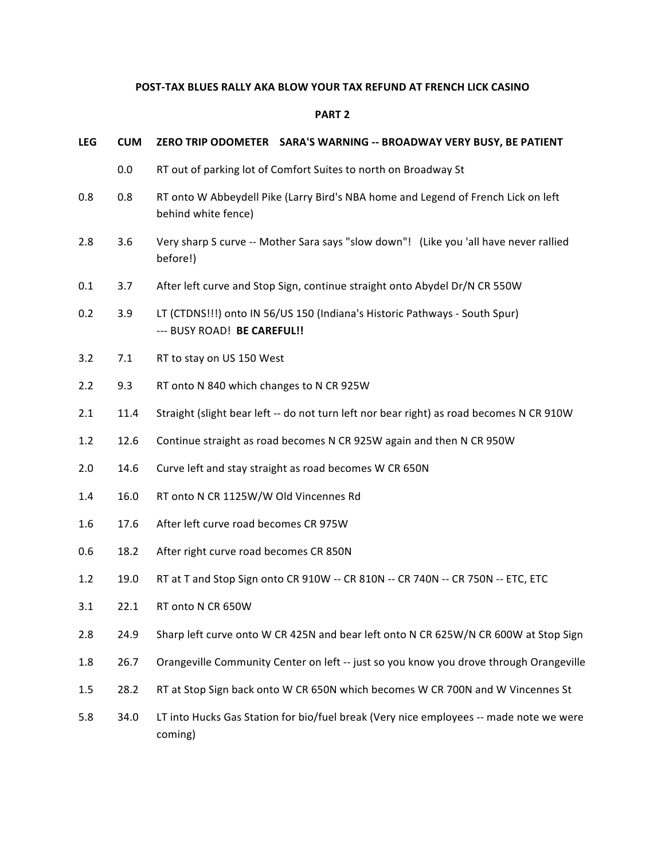## **POST-TAX BLUES RALLY AKA BLOW YOUR TAX REFUND AT FRENCH LICK CASINO**

## **PART 2**

| <b>LEG</b> | <b>CUM</b> | ZERO TRIP ODOMETER    SARA'S WARNING -- BROADWAY VERY BUSY, BE PATIENT                                    |
|------------|------------|-----------------------------------------------------------------------------------------------------------|
|            | 0.0        | RT out of parking lot of Comfort Suites to north on Broadway St                                           |
| 0.8        | 0.8        | RT onto W Abbeydell Pike (Larry Bird's NBA home and Legend of French Lick on left<br>behind white fence)  |
| 2.8        | 3.6        | Very sharp S curve -- Mother Sara says "slow down"! (Like you 'all have never rallied<br>before!)         |
| 0.1        | 3.7        | After left curve and Stop Sign, continue straight onto Abydel Dr/N CR 550W                                |
| 0.2        | 3.9        | LT (CTDNS!!!) onto IN 56/US 150 (Indiana's Historic Pathways - South Spur)<br>--- BUSY ROAD! BE CAREFUL!! |
| 3.2        | 7.1        | RT to stay on US 150 West                                                                                 |
| 2.2        | 9.3        | RT onto N 840 which changes to N CR 925W                                                                  |
| 2.1        | 11.4       | Straight (slight bear left -- do not turn left nor bear right) as road becomes N CR 910W                  |
| 1.2        | 12.6       | Continue straight as road becomes N CR 925W again and then N CR 950W                                      |
| 2.0        | 14.6       | Curve left and stay straight as road becomes W CR 650N                                                    |
| 1.4        | 16.0       | RT onto N CR 1125W/W Old Vincennes Rd                                                                     |
| 1.6        | 17.6       | After left curve road becomes CR 975W                                                                     |
| 0.6        | 18.2       | After right curve road becomes CR 850N                                                                    |
| 1.2        | 19.0       | RT at T and Stop Sign onto CR 910W -- CR 810N -- CR 740N -- CR 750N -- ETC, ETC                           |
| 3.1        | 22.1       | RT onto N CR 650W                                                                                         |
| 2.8        | 24.9       | Sharp left curve onto W CR 425N and bear left onto N CR 625W/N CR 600W at Stop Sign                       |
| 1.8        | 26.7       | Orangeville Community Center on left -- just so you know you drove through Orangeville                    |
| 1.5        | 28.2       | RT at Stop Sign back onto W CR 650N which becomes W CR 700N and W Vincennes St                            |
| 5.8        | 34.0       | LT into Hucks Gas Station for bio/fuel break (Very nice employees -- made note we were<br>coming)         |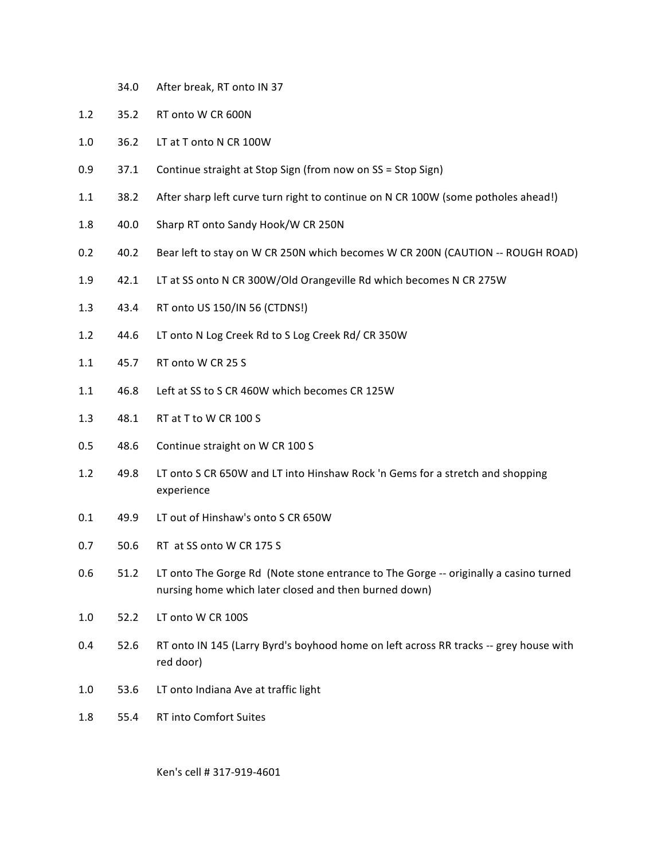- 34.0 After break, RT onto IN 37
- 1.2 35.2 RT onto W CR 600N
- 1.0 36.2 LT at T onto N CR 100W
- 0.9 37.1 Continue straight at Stop Sign (from now on SS = Stop Sign)
- 1.1 38.2 After sharp left curve turn right to continue on N CR 100W (some potholes ahead!)
- 1.8 40.0 Sharp RT onto Sandy Hook/W CR 250N
- 0.2 40.2 Bear left to stay on W CR 250N which becomes W CR 200N (CAUTION -- ROUGH ROAD)
- 1.9 42.1 LT at SS onto N CR 300W/Old Orangeville Rd which becomes N CR 275W
- 1.3 43.4 RT onto US 150/IN 56 (CTDNS!)
- 1.2 44.6 LT onto N Log Creek Rd to S Log Creek Rd/ CR 350W
- 1.1 45.7 RT onto W CR 25 S
- 1.1 46.8 Left at SS to S CR 460W which becomes CR 125W
- 1.3 48.1 RT at T to W CR 100 S
- 0.5 48.6 Continue straight on W CR 100 S
- 1.2 49.8 LT onto S CR 650W and LT into Hinshaw Rock 'n Gems for a stretch and shopping experience
- 0.1 49.9 LT out of Hinshaw's onto S CR 650W
- 0.7 50.6 RT at SS onto W CR 175 S
- 0.6 51.2 LT onto The Gorge Rd (Note stone entrance to The Gorge -- originally a casino turned nursing home which later closed and then burned down)
- 1.0 52.2 LT onto W CR 100S
- 0.4 52.6 RT onto IN 145 (Larry Byrd's boyhood home on left across RR tracks -- grey house with red door)
- 1.0 53.6 LT onto Indiana Ave at traffic light
- 1.8 55.4 RT into Comfort Suites

Ken's cell # 317-919-4601